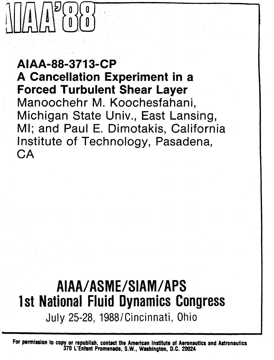AIAA-88-3713-CP A Cancellation Experiment in a **Forced Turbulent Shear Layer** Manoochehr M. Koochesfahani, Michigan State Univ., East Lansing, MI; and Paul E. Dimotakis, California Institute of Technology, Pasadena,  $CA$ 

# AIAA/ASME/SIAM/APS 1st National Fluid Dynamics Congress July 25-28, 1988/Cincinnati, Ohio

For permission to copy or republish, contact the American Institute of Aeronautics and Astronautics 370 L'Enfant Promenade, S.W., Washington, D.C. 20024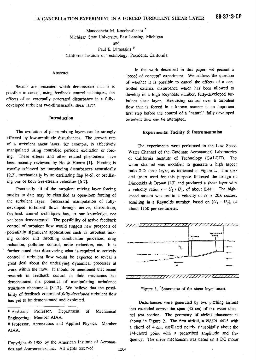## A CANCELLATION EXPERIMENT IN A FORCED TURBULENT SHEAR LAYER

### Manoochehr M. Koochesfahani

Michigan State University, East Lansing, Michigan

and

Paul E. Dimotakis<sup>#</sup>

California Institute of Technology, Pasadena, California

possible to cancel, using feedback control techniques, the develop in a high Reynolds number, fully-developed tur-<br>effects of an externally generated disturbance in a fully-<br>plant shear layer. Exercising control over a tur effects of an externally generated disturbance in a fully-<br>developed turbulent two-dimensional shear layer.<br>
Sour that is forced in a known manner is an important

The evolution of plane mixing layers can be strongly **Experimental Facility & Instrumentation** affected by tow-amplitude disturbances. The growth rate **of** a **turbulent** shear layer, for example, is effecrively manipulated using controlled periodic excitation or forcing. These effects and other related phenomena have been recently reviewed by Ho & Huerre **[I].** Forcing is usually achieved by introducing disturbances acoustically [2,3], mechanically by an oscillating flap [4-5], or oscillating one or both free-stream velocities **[6-71.** 

Practically all of the turbulent mixing layer forcing studies to date may be classified as open-loop forcing of the turbulent layer. Successful manipulation of fullydeveloped turbulent flows through active, closed-loop, feedback control techniques has, to our knowledge, not yet been demonstrated. The possibility of active feedback control of turbulent flow would suggest new prospects of potentially significant applications such as turbulent **mix**ing control and throttling combustion processes, drag reduction, pollution control, noise reduction, etc. It is further noted that discovering what is required to actively control a turbulent flow would be expected to reveal a great deal about the underlying dynamical processes at work within the flow. It should be mentioned that recent research in feedback control in fluid mechanics has demonstrated the potential of manipulating turbulence *transition* phenomena **[8-121.** We believe that the **possi**bility of feedback control of *fully-developed* turbulent flow has yet to be demonstrated and exploited.

# Professor, Aeronautics and Applied Physics. Member

Copyright  $\odot$  1988 by the American Institute of Aeronau- quency. The drive mechanism was based on a DC motor tics and Astronuatics, Inc. All rights reserved. 1204

In the work described in this paper, we present a Abstract "proof of concept" experiment. We address the question of whether it is possible to cancel the effects of a con-Results are presented which demonstrate that it is trolled external disturbance which has been allowed to possible to cancel, using feedback control techniques, the days in a high Paynolds number fully-developed turflow that is forced in a known manner is an important first step before the control of a "natural" fully-developed Introduction **turbulent flow** can be attempted.

The experiments were performed in the Low Speed Water Channel of the Graduate Aeronautical Laboratories of California Institute of Technology (GALCIT). The water channel was modified to generate a high aspect ratio 2-D shear layer, as indicated in Figure **1.** The special insert used for this purpose followed the design of Dimotakis & Brown [13] and produced a shear layer with a velocity ratio,  $r = U_2 / U_1$ , of about 0.44. The highspeed stream was set to a velocity of  $U_1 = 20.6$  *cm/sec,* resulting in a Reynolds number, based on  $(U_1 - U_2)$ , of about 1 150 per centimeter.



Figure 1. Schematic of the shear layer insert.

Disturbances were generated by two pitching airfoils that extended across the span (45 *cm*) of the water chan-<br>\* Assistant Professor, Department of Mechanical Engineering. Member AIAA.<br>
Engineering. Member AIAA.<br>
Shown in Figure 2. The first airfoil, a NACA-4415 with a chord of 4 *cm,* oscillated nearly sinusoiddly about the AIAA. 1/4-chord point with a prescribed amplitude and fre-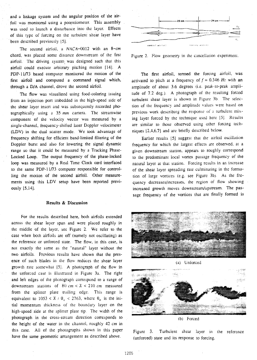and a linkage system and the angular position of the airfoil was monitored using a potentiometer. This assembly was used to launch a disturbance into the layer. Effects of this type of forcing on the turbulenr shear layer have been described previously [5].

The second airfoil, a  $NACA-0012$  with an  $8-cm$ chord, was placed some distance downstream of the first airfoil. The driving system. was designed such that this airfoil could execute arbitrary pitching motion [14]. A PDP-11/73 based computer monitored the motion of the first airfoil and computed a command signal which, through a DJA channel, drove the second airfoil.

The flow was visualized using food-coloring issuing from an injection port imbedded in the high-speed side of the shear layer insert and was subsequently recorded photographically using a 35 mm camera. The streamwise component of the velocity vector was measured by a single-channel, frequency-shifted laser Doppler velocimeter (LDV) in the dual scatter mode. We took advantage of frequency shifting for efficient band-hmited filtering of the Doppler burst and also for lowering the signal dynamic range so that it could be measured by a Tracking Phase-Locked Loop. The output frequency of the phase-locked loop was measured by a Real Time Clock card interfaced to the same PDP-11/73 computer responsible for controlling the motion of the second airfoil. Other measurements using this LDV setup have been reported previously [5,14].

### **Results** & Discussion

For the results descnbed here, both airfoils extended across the shear layer span and were placed roughly in the middle of the layer, see Figure **2.** We refer to the case when both airfoils are off (namely not oscillating) as the reference or unforced state. The flow, in this case, is not exactly the same as the "natural" layer without the two airfoils. Previous results have shown that the presence of such blades in the flow reduces the shear layer growth rate somewhat **151** A photograph of the flow in the unforced case is illustrated in Figure 3a. The right and left edges of the photograph correspond to a range of downstream stations of 80  $cm < X < 210$  cm measured from the splitter plate trailing edge. This range is equivalent to  $1053 < X / \theta_0 < 2763$ , where  $\theta_0$  is the initial momentum thickness of the boundary layer on the high-speed side at the splitter plate tip. The width of the photograph in the cross-stream direction corresponds to the height of the water in the channel, roughly 42 cm in this case. All of the photographs shown in this paper Figure 3. Turbulent shear layer in the reference have the same geometric arrangement as described above. (unforced) state and its response to forcing,



Figure 2. Flow geometry in the cancellation experiment.

The first airfoil, termed the forcing airfoil, was activated to pitch at a frequency of  $f = 0.346$  Hz with an amplitude of about 3.6 degrees (i.e. peak-to-peak amplitude of 7.2 deg.). A photograph of the resulting forced turbulent shear layer is shown in Figure 3b. The selection of the frequency and amplitude values were based on previous work describing the response of a turbulent mixing layer forced by the technique used here [5]. Results are simlar to those observed using other forcing techniques  $[2,4,6,7]$  and are briefly described below.

Earlier results [5] suggest that the airfoil oscillation frequency for which the largest effects are observed, at a given downstream station, appears to roughly correspond to the predominant local vortex passage frequency of the natural layer at that station. Forcing results in an increase of the shear layer spreading rate culminating in the formation of large vortices (e.g. see Figure 3b). As the frequency decreases/increases, the region of flow showing increased growth moves downstream/upstream. The passage frequency of the vortices that are finally formed is



(a) Unforced



(b) Forced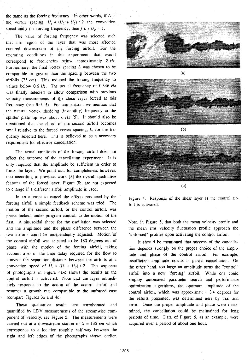the same as the forcing frequency. In other words, if  $L$  is the vonex spacing,  $U_c \approx (U_1 + U_2) / 2$  the convection speed and *f* the forcing frequency, then  $f L / U_c = 1$ .

The value of forcing frequency was selected such that the reglon of the layer that was most affected occured downstream of the forcing airfoil. For the operating conditions in this experiment, that would correspond to frequencies below approximately 2 Hz. Furthermore, the final vortex spacing  $L$  was chosen to be comparable or greater than the spacing between the two (a) airfoils *(25* **cm).** This reduced the forcing frequency to values below 0.6 Hz. The actual frequency of 0.346 Hz was finally selected to allow comparison with previous velocity measurements of the shear layer forced at this frequency (see Ref. 5). For comparison, we mention that the natural vortex shedding (instability) frequency at the splitter plate tip was about 6 Hz [5]. It should also be mentioned that the chord of the second airfoil becomes small relative to the forced vortex spacing, *L*, for the fre- (b) quency selected here. This is believed to be a necessary requirement for effective cancellation.

The actual amplitude of the forcing airfoil does not affect the outcome of the cancellation experiment. It is only required that the amplitude be sufficient in order to force the layer. We point out, for completeness however, that according to previous work **[5]** the overall qualitative features of the forced layer, Figure 3b, are not expected to change if a different airfoil amplitude is used.

In an attempt to cancel ihe effects produced by the forcing airfoil a simple feedback scheme was **tried.** The motion of the second aufoil, or the control airfoil, was phase locked, under program control, to the motion of the first. A sinusoidal shape for the oscillation was selected and the amplitude and the phase difference between the two airfoils could be independently adjusted. Motion of the control airfoil was selected to be 180 degrees out of phase with the motion of the forcing airfoil, taking account also of the time delay required for the flow to convect the separation distance between the airfoils at a convection speed of  $U_c \approx (U_1 + U_2) / 2$ . The sequence of photographs in Figure 4a-c shows the results as the control airfoil is activated. Note that the layer immediately responds to the action of the control airfoil and resumes a growth rate comparable to the unforced case (compare Figures 3a and 4c).

These qualitative results are corroborated and quantified by LDV measurements of the streamwise component of velocity, see Figure 5. The measurements were carried out at a downstream station of  $X = 135$  cm which corresponds to a location roughly half-way between the right and left edges of the photographs shown earlier.







Figure 4. Response of the shear layer as the control airfoil is activated.

Note, in Figure 5, that **both** the mean velocity profile and the mean rms velocity fluctuation profile approach the "unforced" profiles upon activating the control airfoil.

It should be mentioned that success of the cancellation depends strongly on the proper choice of the amplitude and phase of the control airfoil. For example, insufficient amplitude results in partial cancellation. On the other hand, too large an amplitude turns the "control" airfoil into a new "forcing" airfoil. While one could employ automated parameter search and performance optimization algorithms, the optimum amplitude of the control airfoil, which was approximate  $\sim$  3.4 degrees for the results presented, was determined nere by trial and error. Once the proper amplitude and phase were determined, the cancellation could be maintained for long periods of time. Data of Figure 5, as an example, were acquired over a period of about one hour.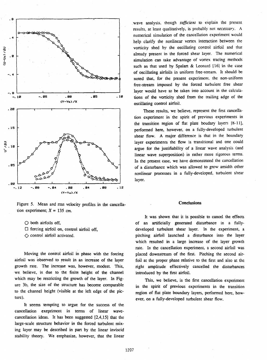

Figure **5.** Mean and rms velocity profiles in the cancellation experiment;  $X = 135$  cm.

0 both airfoils off,

 $\Box$  forcing airfoil on, control airfoil off.

 $\Diamond$  control airfoil activated.

Moving the control airfoil in phase with the forcing airfoil was observed to result in an increase of the layer growth rate. The increase was, however, modest. This, we believe, is due to the finite height of the channel which may be restricting the growth of the layer. In Figure **3b,** the size of the structure has become comparable to the channel height (visible at the left edge of the picture).

It seems tempting to argue for the success of the cancellation exepriment in terns of linear wavecancellation ideas. It has been suggested **[2,4,15]** that the large-scale structure behavior in the forced turbulent mixing layer may be described in part by the linear inviscid stability theory. We emphasize, however, that the linear wave analysis, though **suffrcienr** to explain the present results, at least qualitatively, is probably not *necessary*. A numerical simulation of the cancellation experiment would help clarify the nonlinear vortex interaction between the vorticity shed by the oscillating control airfoil and that already present in the forced shear layer. The numerical simulation can take advantage of vortex tracing methods such as that used by Spalart & Leonard [16] in the case of oscillating airfoils in uniform free-stream. It should be noted that, for the present experiment, the non-uniform free-stream imposed by the forced turbulent free shear layer would have to be taken into account in the calculations of the vonicity shed from the trailing adge of the oscillating control airfoil.

These results, we believe, represent the first cancellation experiment in the spirit of previous experiments in the transition region of flat plate boudary layers [8-11], performed here, however, on a fully-developed turbulent shear flow. **A** major difference is that in the boundary layer experiments the flow is transitional and one could argue for the justifiability of a linear wave analysis (and linear wave superposition) in rather more rigorous terms. In the present case, we have demonstrated the cancellation of a disturbance which was allowed to grow amidth other nonlinear processes in a fully-developed, turbulent shear layer.

### **Conclusions**

It was shown that it is possible to cancel the effects of an artificially generated disturbance in a fullydeveloped turbulent shear layer. In the experiment, a pitching airfoil launched a disturbance into the layer which resulted in a large increase of the layer growth rate. In the cancellation experiment, a second airfoil was placed downstream of the first. Pitching the second airfoil at the proper phase relative to the first and also at the right amplitude effectively cancelled the disturbances introduced by the first airfoil.

This, we believe, is the first cancellation experiment in the spirit of previous experiments in the transition region of flat plate boundary layers, performed here, however, on a fully-developed turbulent shear flow.